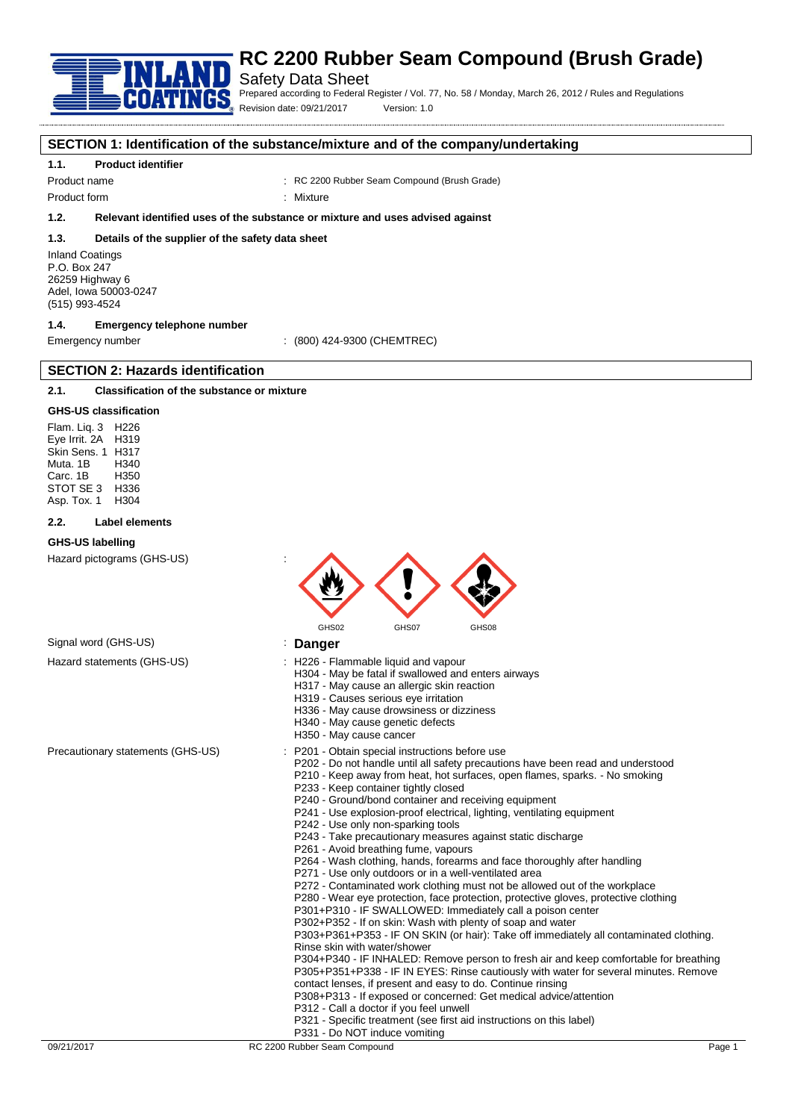

#### Safety Data Sheet

Prepared according to Federal Register / Vol. 77, No. 58 / Monday, March 26, 2012 / Rules and Regulations Revision date: 09/21/2017 Version: 1.0

**SECTION 1: Identification of the substance/mixture and of the company/undertaking**

#### **1.1. Product identifier**

Product name : RC 2200 Rubber Seam Compound (Brush Grade)

Product form : Nixture

#### **1.2. Relevant identified uses of the substance or mixture and uses advised against**

#### **1.3. Details of the supplier of the safety data sheet**

Inland Coatings P.O. Box 247 26259 Highway 6 Adel, Iowa 50003-0247 (515) 993-4524

#### **1.4. Emergency telephone number**

**SECTION 2: Hazards identification**

Emergency number : (800) 424-9300 (CHEMTREC)

#### **2.1. Classification of the substance or mixture**

#### **GHS-US classification**

Flam. Liq. 3 H226 Eye Irrit. 2A H319 Skin Sens. 1 H317 Muta. 1B H340 Carc. 1B H350 STOT SE 3 H336<br>Asp Tox 1 H304 Asp. Tox. 1

#### **2.2. Label elements**

#### **GHS-US labelling**

Hazard pictograms (GHS-US) :



#### Signal word (GHS-US) **in the US** is **Danger**

- Hazard statements (GHS-US) : H226 Flammable liquid and vapour
	- H304 May be fatal if swallowed and enters airways
		- H317 May cause an allergic skin reaction
		- H319 Causes serious eye irritation
		- H336 May cause drowsiness or dizziness
		- H340 May cause genetic defects
		- H350 May cause cancer
- Precautionary statements (GHS-US) : P201 Obtain special instructions before use
	- P202 Do not handle until all safety precautions have been read and understood
	- P210 Keep away from heat, hot surfaces, open flames, sparks. No smoking P233 - Keep container tightly closed
	- P240 Ground/bond container and receiving equipment
	- P241 Use explosion-proof electrical, lighting, ventilating equipment
	- P242 Use only non-sparking tools
	- P243 Take precautionary measures against static discharge
	- P261 Avoid breathing fume, vapours
	- P264 Wash clothing, hands, forearms and face thoroughly after handling
	- P271 Use only outdoors or in a well-ventilated area
	- P272 Contaminated work clothing must not be allowed out of the workplace
	- P280 Wear eye protection, face protection, protective gloves, protective clothing
	- P301+P310 IF SWALLOWED: Immediately call a poison center
	- P302+P352 If on skin: Wash with plenty of soap and water

P303+P361+P353 - IF ON SKIN (or hair): Take off immediately all contaminated clothing. Rinse skin with water/shower

P304+P340 - IF INHALED: Remove person to fresh air and keep comfortable for breathing P305+P351+P338 - IF IN EYES: Rinse cautiously with water for several minutes. Remove contact lenses, if present and easy to do. Continue rinsing

- P308+P313 If exposed or concerned: Get medical advice/attention
- P312 Call a doctor if you feel unwell
- P321 Specific treatment (see first aid instructions on this label)
- P331 Do NOT induce vomiting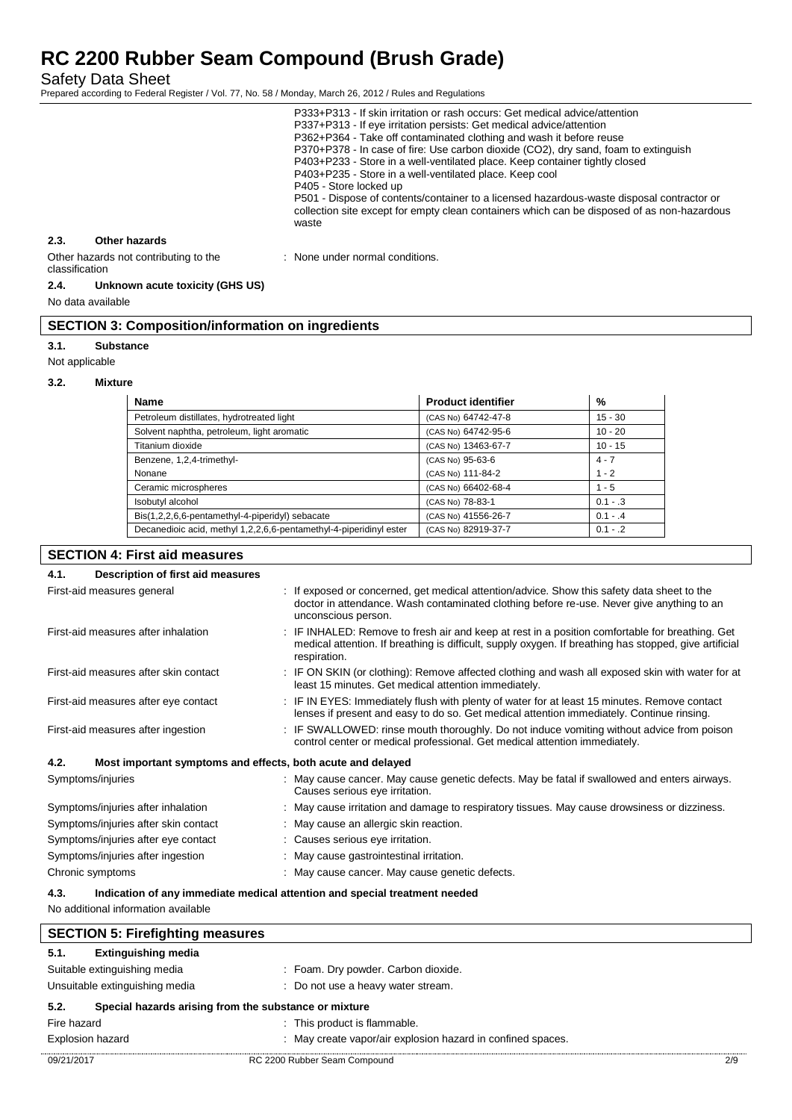Safety Data Sheet

Prepared according to Federal Register / Vol. 77, No. 58 / Monday, March 26, 2012 / Rules and Regulations

|                                                         |               | P333+P313 - If skin irritation or rash occurs: Get medical advice/attention<br>P337+P313 - If eye irritation persists: Get medical advice/attention<br>P362+P364 - Take off contaminated clothing and wash it before reuse<br>P370+P378 - In case of fire: Use carbon dioxide (CO2), dry sand, foam to extinguish<br>P403+P233 - Store in a well-ventilated place. Keep container tightly closed<br>P403+P235 - Store in a well-ventilated place. Keep cool<br>P405 - Store locked up<br>P501 - Dispose of contents/container to a licensed hazardous-waste disposal contractor or<br>collection site except for empty clean containers which can be disposed of as non-hazardous<br>waste |
|---------------------------------------------------------|---------------|--------------------------------------------------------------------------------------------------------------------------------------------------------------------------------------------------------------------------------------------------------------------------------------------------------------------------------------------------------------------------------------------------------------------------------------------------------------------------------------------------------------------------------------------------------------------------------------------------------------------------------------------------------------------------------------------|
| 2.3.                                                    | Other hazards |                                                                                                                                                                                                                                                                                                                                                                                                                                                                                                                                                                                                                                                                                            |
| Other hazards not contributing to the<br>classification |               | : None under normal conditions.                                                                                                                                                                                                                                                                                                                                                                                                                                                                                                                                                                                                                                                            |

#### **2.4. Unknown acute toxicity (GHS US)**

No data available

#### **SECTION 3: Composition/information on ingredients**

#### **3.1. Substance**

Not applicable

#### **3.2. Mixture**

| <b>Name</b>                                                        | <b>Product identifier</b> | %          |
|--------------------------------------------------------------------|---------------------------|------------|
| Petroleum distillates, hydrotreated light                          | (CAS No) 64742-47-8       | $15 - 30$  |
| Solvent naphtha, petroleum, light aromatic                         | (CAS No) 64742-95-6       | $10 - 20$  |
| Titanium dioxide                                                   | (CAS No) 13463-67-7       | $10 - 15$  |
| Benzene, 1,2,4-trimethyl-                                          | (CAS No) 95-63-6          | $4 - 7$    |
| Nonane                                                             | (CAS No) 111-84-2         | $1 - 2$    |
| Ceramic microspheres                                               | (CAS No) 66402-68-4       | $1 - 5$    |
| Isobutyl alcohol                                                   | (CAS No) 78-83-1          | $0.1 - .3$ |
| Bis(1,2,2,6,6-pentamethyl-4-piperidyl) sebacate                    | (CAS No) 41556-26-7       | $0.1 - .4$ |
| Decanedioic acid, methyl 1,2,2,6,6-pentamethyl-4-piperidinyl ester | (CAS No) 82919-37-7       | $0.1 - .2$ |

### **SECTION 4: First aid measures 4.1. Description of first aid measures** First-aid measures general interest of the state of the sposed or concerned, get medical attention/advice. Show this safety data sheet to the doctor in attendance. Wash contaminated clothing before re-use. Never give anything to an unconscious person. First-aid measures after inhalation : IF INHALED: Remove to fresh air and keep at rest in a position comfortable for breathing. Get medical attention. If breathing is difficult, supply oxygen. If breathing has stopped, give artificial respiration. First-aid measures after skin contact : IF ON SKIN (or clothing): Remove affected clothing and wash all exposed skin with water for at least 15 minutes. Get medical attention immediately. First-aid measures after eye contact : IF IN EYES: Immediately flush with plenty of water for at least 15 minutes. Remove contact lenses if present and easy to do so. Get medical attention immediately. Continue rinsing. First-aid measures after ingestion : IF SWALLOWED: rinse mouth thoroughly. Do not induce vomiting without advice from poison control center or medical professional. Get medical attention immediately. **4.2. Most important symptoms and effects, both acute and delayed** Symptoms/injuries **Symptoms**/injuries **ancerered and enters airways.** Symptoms/injuries airways. Causes serious eye irritation. Symptoms/injuries after inhalation : May cause irritation and damage to respiratory tissues. May cause drowsiness or dizziness. Symptoms/injuries after skin contact : May cause an allergic skin reaction. Symptoms/injuries after eye contact : Causes serious eye irritation. Symptoms/injuries after ingestion : May cause gastrointestinal irritation. Chronic symptoms : May cause cancer. May cause genetic defects. **4.3. Indication of any immediate medical attention and special treatment needed** No additional information available **SECTION 5: Firefighting measures**

| 5.1.                                                          | <b>Extinguishing media</b> |  |                                                             |     |
|---------------------------------------------------------------|----------------------------|--|-------------------------------------------------------------|-----|
| Suitable extinguishing media                                  |                            |  | : Foam. Dry powder. Carbon dioxide.                         |     |
| Unsuitable extinguishing media                                |                            |  | : Do not use a heavy water stream.                          |     |
| Special hazards arising from the substance or mixture<br>5.2. |                            |  |                                                             |     |
| Fire hazard                                                   |                            |  | : This product is flammable.                                |     |
| <b>Explosion hazard</b>                                       |                            |  | : May create vapor/air explosion hazard in confined spaces. |     |
| 09/21/2017                                                    |                            |  | RC 2200 Rubber Seam Compound                                | 2/9 |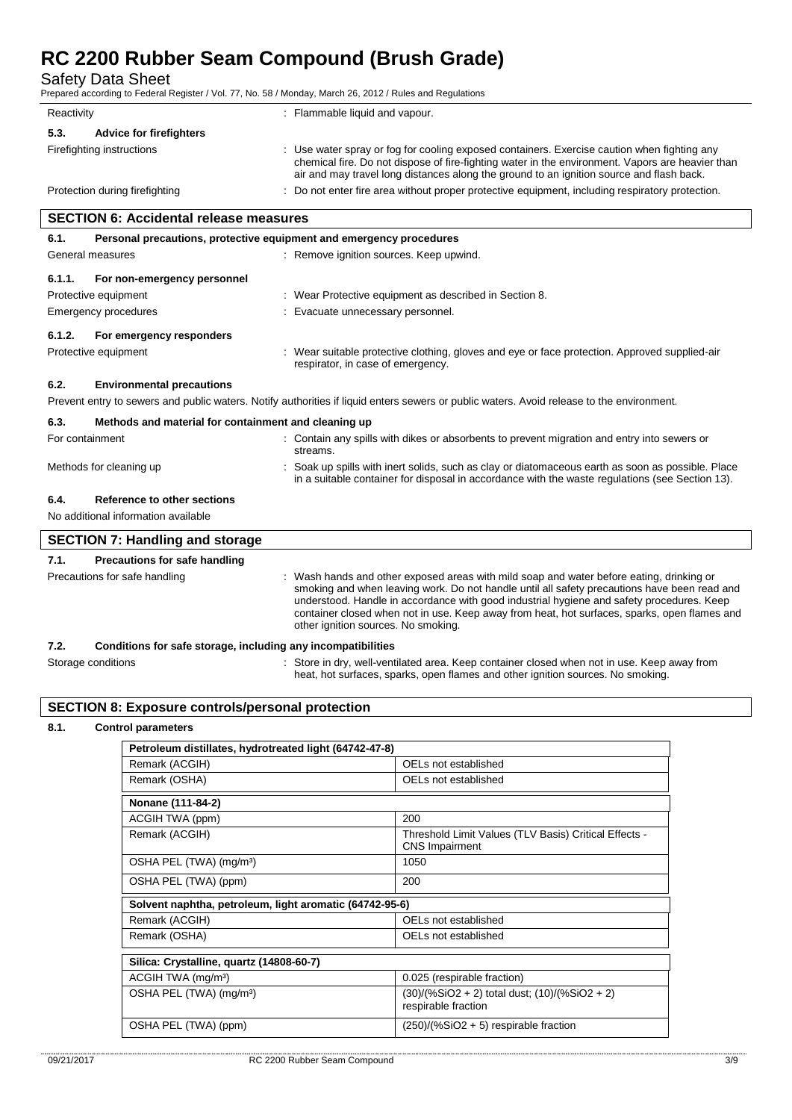Protective equipment **in the contract of the Contract Contract Contract Contract Contract Contract Contract Contract Contract Contract Contract Contract Contract Contract Contract Contract Contract Contract Contract Contra** 

Emergency procedures **in the contract of the Contract Evacuate** unnecessary personnel.

Safety Data Sheet

Prepared according to Federal Register / Vol. 77, No. 58 / Monday, March 26, 2012 / Rules and Regulations

| Reactivity                                    | : Flammable liquid and vapour.                                                                                                                                                                                                                                                              |  |  |
|-----------------------------------------------|---------------------------------------------------------------------------------------------------------------------------------------------------------------------------------------------------------------------------------------------------------------------------------------------|--|--|
| 5.3.<br><b>Advice for firefighters</b>        |                                                                                                                                                                                                                                                                                             |  |  |
| Firefighting instructions                     | : Use water spray or fog for cooling exposed containers. Exercise caution when fighting any<br>chemical fire. Do not dispose of fire-fighting water in the environment. Vapors are heavier than<br>air and may travel long distances along the ground to an ignition source and flash back. |  |  |
| Protection during firefighting                | : Do not enter fire area without proper protective equipment, including respiratory protection.                                                                                                                                                                                             |  |  |
| <b>SECTION 6: Accidental release measures</b> |                                                                                                                                                                                                                                                                                             |  |  |
| 6.1.                                          | Personal precautions, protective equipment and emergency procedures                                                                                                                                                                                                                         |  |  |
| General measures                              | : Remove ignition sources. Keep upwind.                                                                                                                                                                                                                                                     |  |  |
| 6.1.1.<br>For non-emergency personnel         |                                                                                                                                                                                                                                                                                             |  |  |

#### **6.1.2. For emergency responders**

Protective equipment **interval of the suitable protective clothing**, gloves and eye or face protection. Approved supplied-air respirator, in case of emergency.

heat, hot surfaces, sparks, open flames and other ignition sources. No smoking.

#### **6.2. Environmental precautions**

Prevent entry to sewers and public waters. Notify authorities if liquid enters sewers or public waters. Avoid release to the environment.

| 6.3.            | Methods and material for containment and cleaning up |  |                                                                                                                                                                                                      |  |  |
|-----------------|------------------------------------------------------|--|------------------------------------------------------------------------------------------------------------------------------------------------------------------------------------------------------|--|--|
| For containment |                                                      |  | : Contain any spills with dikes or absorbents to prevent migration and entry into sewers or<br>streams.                                                                                              |  |  |
|                 | Methods for cleaning up                              |  | : Soak up spills with inert solids, such as clay or diatomaceous earth as soon as possible. Place<br>in a suitable container for disposal in accordance with the waste regulations (see Section 13). |  |  |
| 6.4.            | Reference to other sections                          |  |                                                                                                                                                                                                      |  |  |
|                 | No additional information available                  |  |                                                                                                                                                                                                      |  |  |
|                 | <b>SECTION 7: Handling and storage</b>               |  |                                                                                                                                                                                                      |  |  |
| - - -           |                                                      |  |                                                                                                                                                                                                      |  |  |

#### **7.1. Precautions for safe handling** Precautions for safe handling : Wash hands and other exposed areas with mild soap and water before eating, drinking or smoking and when leaving work. Do not handle until all safety precautions have been read and understood. Handle in accordance with good industrial hygiene and safety procedures. Keep container closed when not in use. Keep away from heat, hot surfaces, sparks, open flames and other ignition sources. No smoking. **7.2. Conditions for safe storage, including any incompatibilities** Storage conditions **Store in dry**, well-ventilated area. Keep container closed when not in use. Keep away from

## **SECTION 8: Exposure controls/personal protection**

#### **8.1. Control parameters**

| Petroleum distillates, hydrotreated light (64742-47-8)  |                                                                                |  |  |  |
|---------------------------------------------------------|--------------------------------------------------------------------------------|--|--|--|
| Remark (ACGIH)                                          | OELs not established                                                           |  |  |  |
| Remark (OSHA)                                           | OFI s not established                                                          |  |  |  |
| Nonane (111-84-2)                                       |                                                                                |  |  |  |
| ACGIH TWA (ppm)                                         | 200                                                                            |  |  |  |
| Remark (ACGIH)                                          | Threshold Limit Values (TLV Basis) Critical Effects -<br><b>CNS</b> Impairment |  |  |  |
| OSHA PEL (TWA) (mg/m <sup>3</sup> )                     | 1050                                                                           |  |  |  |
| OSHA PEL (TWA) (ppm)                                    | 200                                                                            |  |  |  |
| Solvent naphtha, petroleum, light aromatic (64742-95-6) |                                                                                |  |  |  |
| Remark (ACGIH)                                          | OELs not established                                                           |  |  |  |
| Remark (OSHA)                                           | OELs not established                                                           |  |  |  |
|                                                         |                                                                                |  |  |  |
| Silica: Crystalline, quartz (14808-60-7)                |                                                                                |  |  |  |
| ACGIH TWA (mg/m <sup>3</sup> )                          | 0.025 (respirable fraction)                                                    |  |  |  |
| OSHA PEL (TWA) (mg/m <sup>3</sup> )                     | (30)/(%SiO2 + 2) total dust; (10)/(%SiO2 + 2)<br>respirable fraction           |  |  |  |
| OSHA PEL (TWA) (ppm)                                    | $(250)/(%SiO2 + 5)$ respirable fraction                                        |  |  |  |
|                                                         |                                                                                |  |  |  |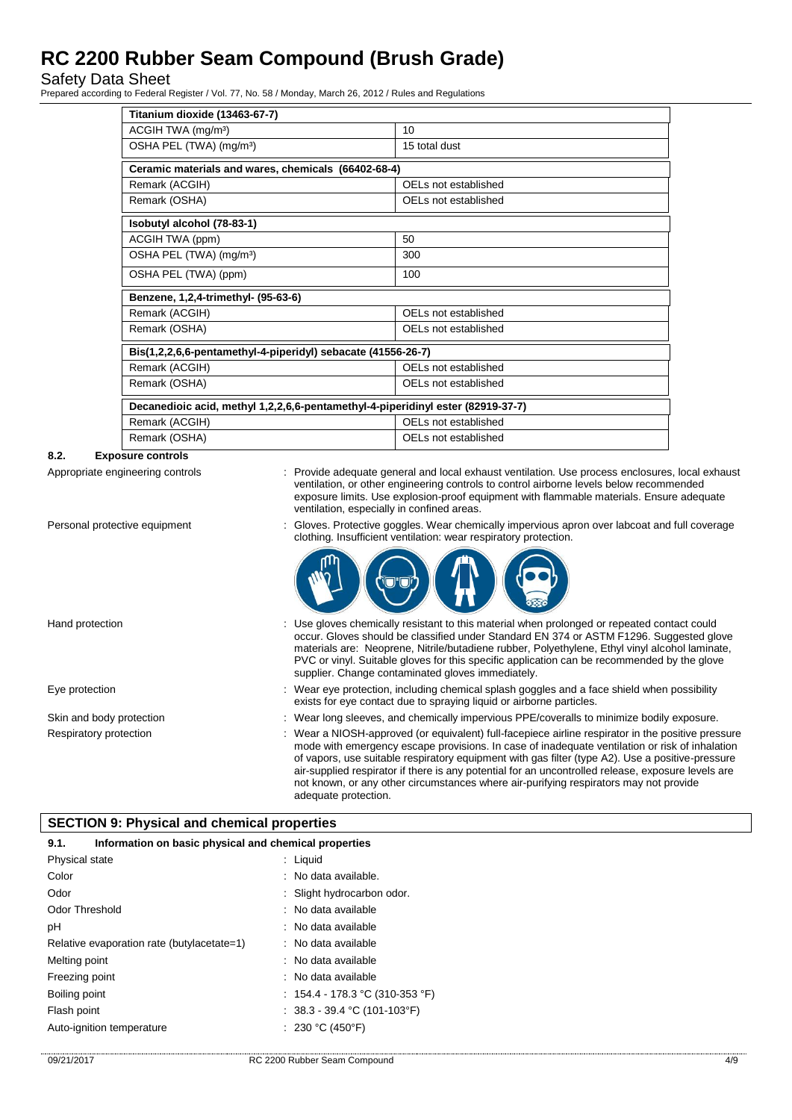Safety Data Sheet

Prepared according to Federal Register / Vol. 77, No. 58 / Monday, March 26, 2012 / Rules and Regulations

| Titanium dioxide (13463-67-7)                                                   |                      |  |  |  |
|---------------------------------------------------------------------------------|----------------------|--|--|--|
| ACGIH TWA (mg/m <sup>3</sup> )                                                  | 10                   |  |  |  |
| OSHA PEL (TWA) (mg/m <sup>3</sup> )                                             | 15 total dust        |  |  |  |
| Ceramic materials and wares, chemicals (66402-68-4)                             |                      |  |  |  |
| Remark (ACGIH)                                                                  | OELs not established |  |  |  |
| Remark (OSHA)                                                                   | OELs not established |  |  |  |
| Isobutyl alcohol (78-83-1)                                                      |                      |  |  |  |
| ACGIH TWA (ppm)                                                                 | 50                   |  |  |  |
| OSHA PEL (TWA) (mg/m <sup>3</sup> )                                             | 300                  |  |  |  |
| OSHA PEL (TWA) (ppm)                                                            | 100                  |  |  |  |
| Benzene, 1,2,4-trimethyl- (95-63-6)                                             |                      |  |  |  |
| Remark (ACGIH)                                                                  | OELs not established |  |  |  |
| Remark (OSHA)                                                                   | OELs not established |  |  |  |
| Bis(1,2,2,6,6-pentamethyl-4-piperidyl) sebacate (41556-26-7)                    |                      |  |  |  |
| Remark (ACGIH)                                                                  | OELs not established |  |  |  |
| Remark (OSHA)                                                                   | OELs not established |  |  |  |
| Decanedioic acid, methyl 1,2,2,6,6-pentamethyl-4-piperidinyl ester (82919-37-7) |                      |  |  |  |
| Remark (ACGIH)                                                                  | OELs not established |  |  |  |
| Remark (OSHA)                                                                   | OELs not established |  |  |  |

#### **8.2. Exposure controls**

Appropriate engineering controls : Provide adequate general and local exhaust ventilation. Use process enclosures, local exhaust ventilation, or other engineering controls to control airborne levels below recommended exposure limits. Use explosion-proof equipment with flammable materials. Ensure adequate ventilation, especially in confined areas.

clothing. Insufficient ventilation: wear respiratory protection.

Personal protective equipment : Gloves. Protective goggles. Wear chemically impervious apron over labcoat and full coverage

#### Hand protection state of the state of the entire of the sistem of this material when prolonged or repeated contact could occur. Gloves should be classified under Standard EN 374 or ASTM F1296. Suggested glove materials are: Neoprene, Nitrile/butadiene rubber, Polyethylene, Ethyl vinyl alcohol laminate, PVC or vinyl. Suitable gloves for this specific application can be recommended by the glove supplier. Change contaminated gloves immediately.

- Eye protection **including the matter of the system** of the Wear eye protection, including chemical splash goggles and a face shield when possibility exists for eye contact due to spraying liquid or airborne particles.
- Skin and body protection : Wear long sleeves, and chemically impervious PPE/coveralls to minimize bodily exposure.
- Respiratory protection : Wear a NIOSH-approved (or equivalent) full-facepiece airline respirator in the positive pressure mode with emergency escape provisions. In case of inadequate ventilation or risk of inhalation of vapors, use suitable respiratory equipment with gas filter (type A2). Use a positive-pressure air-supplied respirator if there is any potential for an uncontrolled release, exposure levels are not known, or any other circumstances where air-purifying respirators may not provide adequate protection.

#### **SECTION 9: Physical and chemical properties**

| Information on basic physical and chemical properties<br>9.1. |                                 |  |
|---------------------------------------------------------------|---------------------------------|--|
| Physical state                                                | $:$ Liquid                      |  |
| Color                                                         | $\therefore$ No data available. |  |
| Odor                                                          | : Slight hydrocarbon odor.      |  |
| <b>Odor Threshold</b>                                         | : No data available             |  |
| рH                                                            | : No data available             |  |
| Relative evaporation rate (butylacetate=1)                    | : No data available             |  |
| Melting point                                                 | : No data available             |  |
| Freezing point                                                | : No data available             |  |
| Boiling point                                                 | : 154.4 - 178.3 °C (310-353 °F) |  |
| Flash point                                                   | : $38.3 - 39.4$ °C (101-103°F)  |  |
| Auto-ignition temperature                                     | : 230 °C (450°F)                |  |
|                                                               |                                 |  |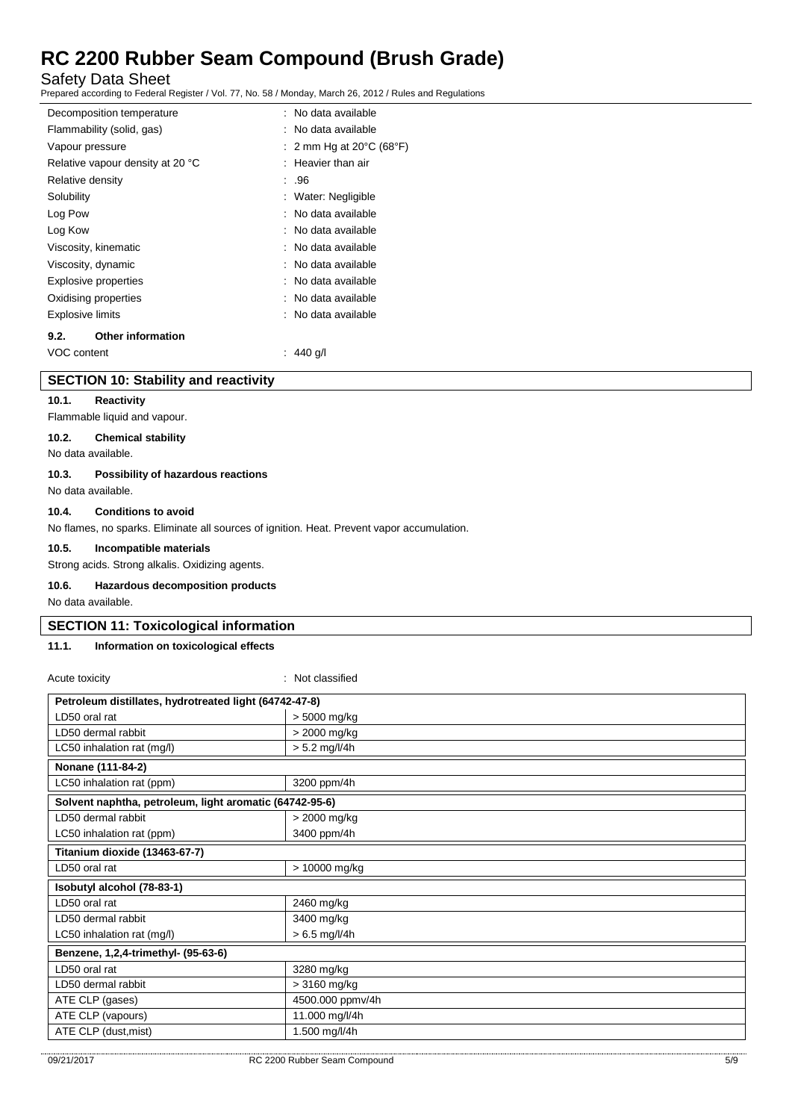Safety Data Sheet

Prepared according to Federal Register / Vol. 77, No. 58 / Monday, March 26, 2012 / Rules and Regulations

| Decomposition temperature        |  | : No data available                          |
|----------------------------------|--|----------------------------------------------|
| Flammability (solid, gas)        |  | : No data available                          |
| Vapour pressure                  |  | : 2 mm Hg at 20 $\degree$ C (68 $\degree$ F) |
| Relative vapour density at 20 °C |  | $:$ Heavier than air                         |
| Relative density                 |  | : .96                                        |
| Solubility                       |  | : Water: Negligible                          |
| Log Pow                          |  | : No data available                          |
| Log Kow                          |  | : No data available                          |
| Viscosity, kinematic             |  | : No data available                          |
| Viscosity, dynamic               |  | : No data available                          |
| <b>Explosive properties</b>      |  | : No data available                          |
| Oxidising properties             |  | : No data available                          |
| <b>Explosive limits</b>          |  | : No data available                          |
| <b>Other information</b><br>9.2. |  |                                              |
| VOC content                      |  | 440 g/l                                      |

#### **SECTION 10: Stability and reactivity**

#### **10.1. Reactivity**

Flammable liquid and vapour.

#### **10.2. Chemical stability**

No data available.

#### **10.3. Possibility of hazardous reactions**

No data available.

#### **10.4. Conditions to avoid**

No flames, no sparks. Eliminate all sources of ignition. Heat. Prevent vapor accumulation.

#### **10.5. Incompatible materials**

Strong acids. Strong alkalis. Oxidizing agents.

#### **10.6. Hazardous decomposition products**

No data available.

#### **SECTION 11: Toxicological information**

#### **11.1. Information on toxicological effects**

| Acute toxicity                                          | : Not classified |  |  |  |
|---------------------------------------------------------|------------------|--|--|--|
| Petroleum distillates, hydrotreated light (64742-47-8)  |                  |  |  |  |
| LD50 oral rat                                           | > 5000 mg/kg     |  |  |  |
| LD50 dermal rabbit                                      | > 2000 mg/kg     |  |  |  |
| LC50 inhalation rat (mg/l)                              | $> 5.2$ mg/l/4h  |  |  |  |
| Nonane (111-84-2)                                       |                  |  |  |  |
| LC50 inhalation rat (ppm)                               | 3200 ppm/4h      |  |  |  |
| Solvent naphtha, petroleum, light aromatic (64742-95-6) |                  |  |  |  |
| LD50 dermal rabbit                                      | > 2000 mg/kg     |  |  |  |
| LC50 inhalation rat (ppm)                               | 3400 ppm/4h      |  |  |  |
| Titanium dioxide (13463-67-7)                           |                  |  |  |  |
| LD50 oral rat                                           | > 10000 mg/kg    |  |  |  |
| Isobutyl alcohol (78-83-1)                              |                  |  |  |  |
| LD50 oral rat                                           | 2460 mg/kg       |  |  |  |
| LD50 dermal rabbit                                      | 3400 mg/kg       |  |  |  |
| LC50 inhalation rat (mg/l)                              | $> 6.5$ mg/l/4h  |  |  |  |
| Benzene, 1,2,4-trimethyl- (95-63-6)                     |                  |  |  |  |
| LD50 oral rat                                           | 3280 mg/kg       |  |  |  |
| LD50 dermal rabbit                                      | $>3160$ mg/kg    |  |  |  |
| ATE CLP (gases)                                         | 4500.000 ppmv/4h |  |  |  |
| ATE CLP (vapours)                                       | 11.000 mg/l/4h   |  |  |  |
| ATE CLP (dust, mist)                                    | 1.500 mg/l/4h    |  |  |  |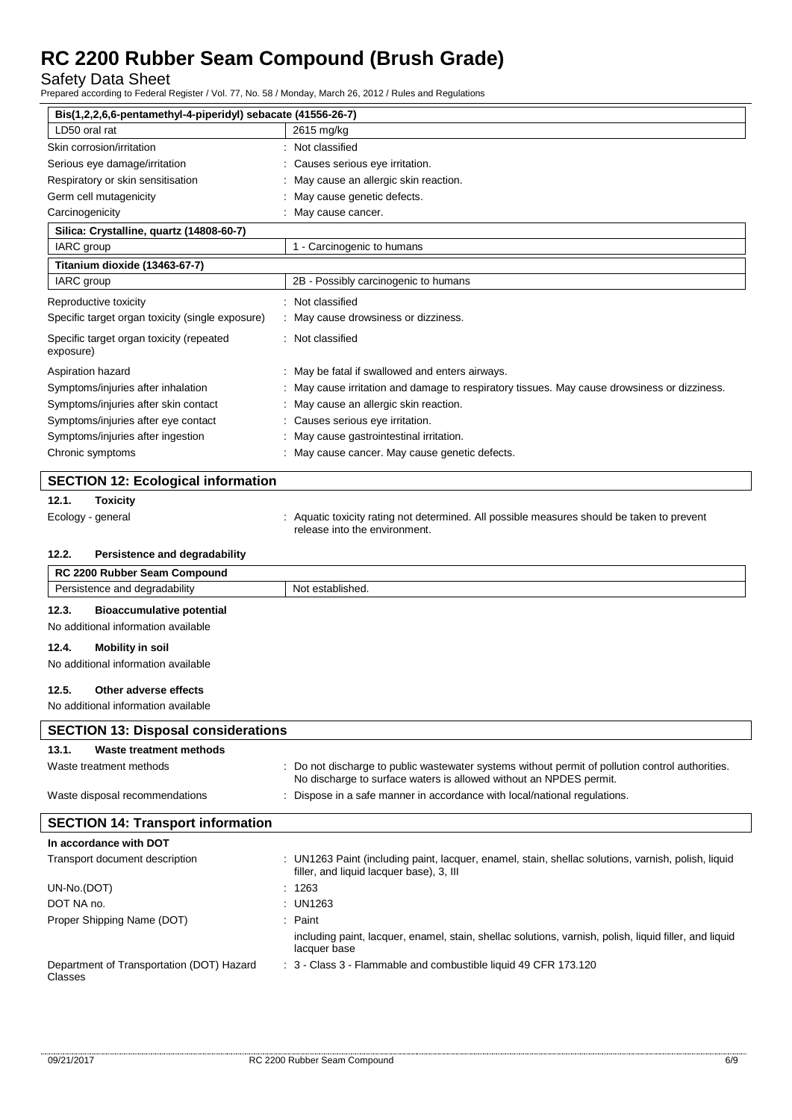Safety Data Sheet

Prepared according to Federal Register / Vol. 77, No. 58 / Monday, March 26, 2012 / Rules and Regulations

| Bis(1,2,2,6,6-pentamethyl-4-piperidyl) sebacate (41556-26-7) |                                                                                                                                                                        |  |  |
|--------------------------------------------------------------|------------------------------------------------------------------------------------------------------------------------------------------------------------------------|--|--|
| LD50 oral rat                                                | 2615 mg/kg                                                                                                                                                             |  |  |
| Skin corrosion/irritation                                    | : Not classified                                                                                                                                                       |  |  |
| Serious eye damage/irritation                                | Causes serious eye irritation.                                                                                                                                         |  |  |
| Respiratory or skin sensitisation                            | May cause an allergic skin reaction.                                                                                                                                   |  |  |
| Germ cell mutagenicity                                       | May cause genetic defects.                                                                                                                                             |  |  |
| Carcinogenicity                                              | : May cause cancer.                                                                                                                                                    |  |  |
| Silica: Crystalline, quartz (14808-60-7)                     |                                                                                                                                                                        |  |  |
| IARC group                                                   | 1 - Carcinogenic to humans                                                                                                                                             |  |  |
| Titanium dioxide (13463-67-7)                                |                                                                                                                                                                        |  |  |
| IARC group                                                   | 2B - Possibly carcinogenic to humans                                                                                                                                   |  |  |
| Reproductive toxicity                                        | : Not classified                                                                                                                                                       |  |  |
| Specific target organ toxicity (single exposure)             | May cause drowsiness or dizziness.                                                                                                                                     |  |  |
| Specific target organ toxicity (repeated<br>exposure)        | : Not classified                                                                                                                                                       |  |  |
| Aspiration hazard                                            | : May be fatal if swallowed and enters airways.                                                                                                                        |  |  |
| Symptoms/injuries after inhalation                           | : May cause irritation and damage to respiratory tissues. May cause drowsiness or dizziness.                                                                           |  |  |
| Symptoms/injuries after skin contact                         | May cause an allergic skin reaction.                                                                                                                                   |  |  |
| Symptoms/injuries after eye contact                          | Causes serious eye irritation.                                                                                                                                         |  |  |
| Symptoms/injuries after ingestion                            | May cause gastrointestinal irritation.                                                                                                                                 |  |  |
| Chronic symptoms                                             | : May cause cancer. May cause genetic defects.                                                                                                                         |  |  |
|                                                              |                                                                                                                                                                        |  |  |
| <b>SECTION 12: Ecological information</b>                    |                                                                                                                                                                        |  |  |
| 12.1.<br><b>Toxicity</b>                                     |                                                                                                                                                                        |  |  |
| Ecology - general                                            | Aquatic toxicity rating not determined. All possible measures should be taken to prevent<br>release into the environment.                                              |  |  |
| 12.2.<br>Persistence and degradability                       |                                                                                                                                                                        |  |  |
| RC 2200 Rubber Seam Compound                                 |                                                                                                                                                                        |  |  |
| Persistence and degradability                                | Not established.                                                                                                                                                       |  |  |
| 12.3.<br><b>Bioaccumulative potential</b>                    |                                                                                                                                                                        |  |  |
| No additional information available                          |                                                                                                                                                                        |  |  |
|                                                              |                                                                                                                                                                        |  |  |
| 12.4.<br><b>Mobility in soil</b>                             |                                                                                                                                                                        |  |  |
| No additional information available                          |                                                                                                                                                                        |  |  |
| 12.5.<br>Other adverse effects                               |                                                                                                                                                                        |  |  |
| No additional information available                          |                                                                                                                                                                        |  |  |
| <b>SECTION 13: Disposal considerations</b>                   |                                                                                                                                                                        |  |  |
| 13.1.<br>Waste treatment methods                             |                                                                                                                                                                        |  |  |
| Waste treatment methods                                      | : Do not discharge to public wastewater systems without permit of pollution control authorities.<br>No discharge to surface waters is allowed without an NPDES permit. |  |  |
| Waste disposal recommendations                               | : Dispose in a safe manner in accordance with local/national regulations.                                                                                              |  |  |
| <b>SECTION 14: Transport information</b>                     |                                                                                                                                                                        |  |  |
| In accordance with DOT                                       |                                                                                                                                                                        |  |  |
| Transport document description                               | : UN1263 Paint (including paint, lacquer, enamel, stain, shellac solutions, varnish, polish, liquid<br>filler, and liquid lacquer base), 3, III                        |  |  |
| UN-No.(DOT)                                                  | : 1263                                                                                                                                                                 |  |  |
| DOT NA no.                                                   | UN1263                                                                                                                                                                 |  |  |
| Proper Shipping Name (DOT)                                   | Paint                                                                                                                                                                  |  |  |
|                                                              | including paint, lacquer, enamel, stain, shellac solutions, varnish, polish, liquid filler, and liquid<br>lacquer base                                                 |  |  |
| Department of Transportation (DOT) Hazard                    | : 3 - Class 3 - Flammable and combustible liquid 49 CFR 173.120                                                                                                        |  |  |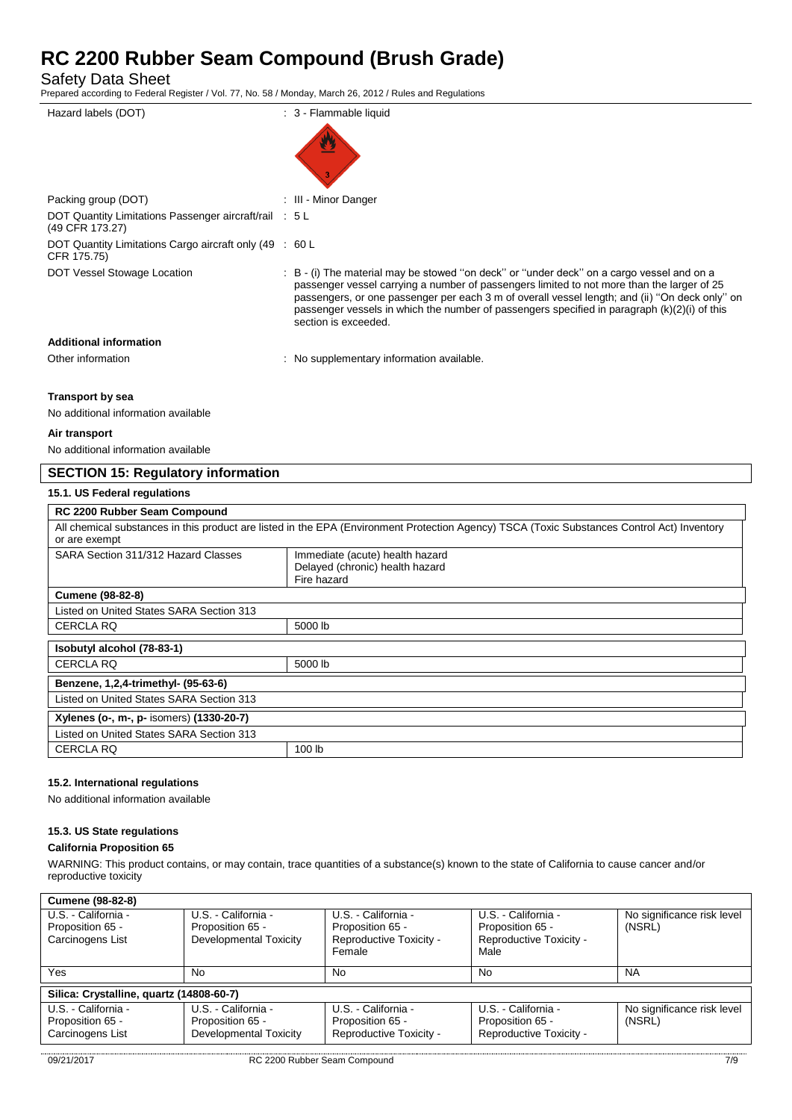Safety Data Sheet

Prepared according to Federal Register / Vol. 77, No. 58 / Monday, March 26, 2012 / Rules and Regulations

| Hazard labels (DOT)                                                       | : 3 - Flammable liquid                                                                                                                                                                                                                                                                                                                                                                                              |
|---------------------------------------------------------------------------|---------------------------------------------------------------------------------------------------------------------------------------------------------------------------------------------------------------------------------------------------------------------------------------------------------------------------------------------------------------------------------------------------------------------|
|                                                                           |                                                                                                                                                                                                                                                                                                                                                                                                                     |
| Packing group (DOT)                                                       | : III - Minor Danger                                                                                                                                                                                                                                                                                                                                                                                                |
| DOT Quantity Limitations Passenger aircraft/rail : 5 L<br>(49 CFR 173.27) |                                                                                                                                                                                                                                                                                                                                                                                                                     |
| DOT Quantity Limitations Cargo aircraft only (49 : 60 L<br>CFR 175.75)    |                                                                                                                                                                                                                                                                                                                                                                                                                     |
| DOT Vessel Stowage Location                                               | : B - (i) The material may be stowed "on deck" or "under deck" on a cargo vessel and on a<br>passenger vessel carrying a number of passengers limited to not more than the larger of 25<br>passengers, or one passenger per each 3 m of overall vessel length; and (ii) "On deck only" on<br>passenger vessels in which the number of passengers specified in paragraph $(k)(2)(i)$ of this<br>section is exceeded. |
| <b>Additional information</b>                                             |                                                                                                                                                                                                                                                                                                                                                                                                                     |
| Other information                                                         | : No supplementary information available.                                                                                                                                                                                                                                                                                                                                                                           |
|                                                                           |                                                                                                                                                                                                                                                                                                                                                                                                                     |

#### **Transport by sea**

No additional information available

#### **Air transport**

No additional information available

### **SECTION 15: Regulatory information**

#### **15.1. US Federal regulations**

| <b>RC 2200 Rubber Seam Compound</b>                                                                                                                          |                                                                                   |  |
|--------------------------------------------------------------------------------------------------------------------------------------------------------------|-----------------------------------------------------------------------------------|--|
| All chemical substances in this product are listed in the EPA (Environment Protection Agency) TSCA (Toxic Substances Control Act) Inventory<br>or are exempt |                                                                                   |  |
| SARA Section 311/312 Hazard Classes                                                                                                                          | Immediate (acute) health hazard<br>Delayed (chronic) health hazard<br>Fire hazard |  |
| <b>Cumene (98-82-8)</b>                                                                                                                                      |                                                                                   |  |
| Listed on United States SARA Section 313                                                                                                                     |                                                                                   |  |
| <b>CERCLA RQ</b>                                                                                                                                             | 5000 lb                                                                           |  |
| Isobutyl alcohol (78-83-1)                                                                                                                                   |                                                                                   |  |
| <b>CERCLA RQ</b>                                                                                                                                             | 5000 lb                                                                           |  |
| Benzene, 1,2,4-trimethyl- (95-63-6)                                                                                                                          |                                                                                   |  |
| Listed on United States SARA Section 313                                                                                                                     |                                                                                   |  |
| Xylenes (o-, m-, p- isomers) (1330-20-7)                                                                                                                     |                                                                                   |  |
| Listed on United States SARA Section 313                                                                                                                     |                                                                                   |  |
| <b>CERCLA RQ</b>                                                                                                                                             | 100 lb                                                                            |  |

#### **15.2. International regulations**

No additional information available

#### **15.3. US State regulations**

#### **California Proposition 65**

WARNING: This product contains, or may contain, trace quantities of a substance(s) known to the state of California to cause cancer and/or reproductive toxicity

| <b>Cumene (98-82-8)</b>                  |                                         |                                         |                                         |                                      |
|------------------------------------------|-----------------------------------------|-----------------------------------------|-----------------------------------------|--------------------------------------|
| U.S. - California -<br>Proposition 65 -  | U.S. - California -<br>Proposition 65 - | U.S. - California -<br>Proposition 65 - | U.S. - California -<br>Proposition 65 - | No significance risk level<br>(NSRL) |
| Carcinogens List                         | Developmental Toxicity                  | Reproductive Toxicity -                 | Reproductive Toxicity -                 |                                      |
|                                          |                                         | Female                                  | Male                                    |                                      |
| Yes                                      | No                                      | No                                      | No                                      | <b>NA</b>                            |
| Silica: Crystalline, quartz (14808-60-7) |                                         |                                         |                                         |                                      |
| U.S. - California -                      | U.S. - California -                     | U.S. - California -                     | U.S. - California -                     | No significance risk level           |
| Proposition 65 -                         | Proposition 65 -                        | Proposition 65 -                        | Proposition 65 -                        | (NSRL)                               |
| Carcinogens List                         | Developmental Toxicity                  | Reproductive Toxicity -                 | Reproductive Toxicity -                 |                                      |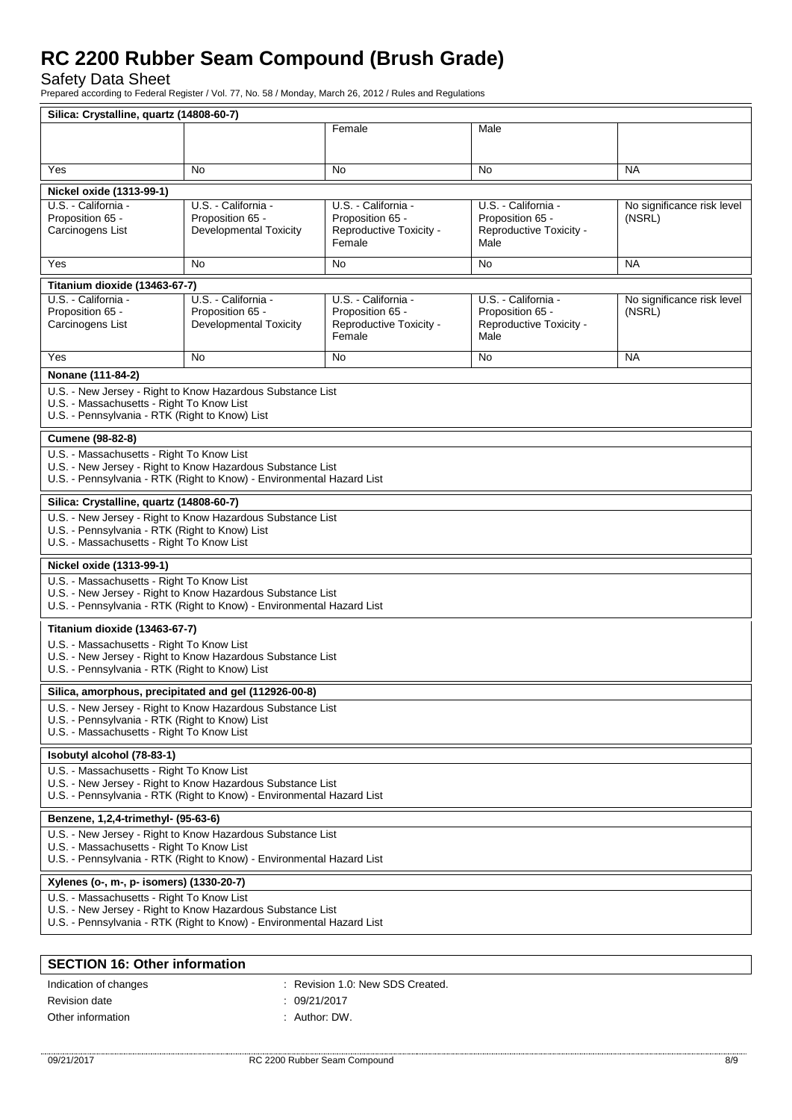Safety Data Sheet

Prepared according to Federal Register / Vol. 77, No. 58 / Monday, March 26, 2012 / Rules and Regulations

| Silica: Crystalline, quartz (14808-60-7)                                                                                            |                                                                       |                                             |                                             |                            |
|-------------------------------------------------------------------------------------------------------------------------------------|-----------------------------------------------------------------------|---------------------------------------------|---------------------------------------------|----------------------------|
|                                                                                                                                     |                                                                       | Female                                      | Male                                        |                            |
|                                                                                                                                     |                                                                       |                                             |                                             |                            |
| Yes                                                                                                                                 | No.                                                                   | No.                                         | No                                          | <b>NA</b>                  |
| Nickel oxide (1313-99-1)                                                                                                            |                                                                       |                                             |                                             |                            |
| U.S. - California -                                                                                                                 | U.S. California -                                                     | U.S. - California -                         | U.S. - California -                         | No significance risk level |
| Proposition 65 -                                                                                                                    | Proposition 65 -                                                      | Proposition 65 -                            | Proposition 65 -                            | (NSRL)                     |
| Carcinogens List                                                                                                                    | <b>Developmental Toxicity</b>                                         | Reproductive Toxicity -<br>Female           | Reproductive Toxicity -<br>Male             |                            |
| Yes                                                                                                                                 | No.                                                                   | <b>No</b>                                   | No                                          | <b>NA</b>                  |
| Titanium dioxide (13463-67-7)                                                                                                       |                                                                       |                                             |                                             |                            |
| U.S. - California -                                                                                                                 | U.S. - California -                                                   | U.S. - California -                         | U.S. - California -                         | No significance risk level |
| Proposition 65 -<br>Carcinogens List                                                                                                | Proposition 65 -<br><b>Developmental Toxicity</b>                     | Proposition 65 -<br>Reproductive Toxicity - | Proposition 65 -<br>Reproductive Toxicity - | (NSRL)                     |
|                                                                                                                                     |                                                                       | Female                                      | Male                                        |                            |
| Yes                                                                                                                                 | No                                                                    | <b>No</b>                                   | No                                          | <b>NA</b>                  |
| Nonane (111-84-2)                                                                                                                   |                                                                       |                                             |                                             |                            |
|                                                                                                                                     | U.S. - New Jersey - Right to Know Hazardous Substance List            |                                             |                                             |                            |
| U.S. - Massachusetts - Right To Know List<br>U.S. - Pennsylvania - RTK (Right to Know) List                                         |                                                                       |                                             |                                             |                            |
|                                                                                                                                     |                                                                       |                                             |                                             |                            |
| Cumene (98-82-8)<br>U.S. - Massachusetts - Right To Know List                                                                       |                                                                       |                                             |                                             |                            |
|                                                                                                                                     | U.S. - New Jersey - Right to Know Hazardous Substance List            |                                             |                                             |                            |
|                                                                                                                                     | U.S. - Pennsylvania - RTK (Right to Know) - Environmental Hazard List |                                             |                                             |                            |
| Silica: Crystalline, quartz (14808-60-7)                                                                                            |                                                                       |                                             |                                             |                            |
|                                                                                                                                     | U.S. - New Jersey - Right to Know Hazardous Substance List            |                                             |                                             |                            |
| U.S. - Pennsylvania - RTK (Right to Know) List<br>U.S. - Massachusetts - Right To Know List                                         |                                                                       |                                             |                                             |                            |
| Nickel oxide (1313-99-1)                                                                                                            |                                                                       |                                             |                                             |                            |
| U.S. - Massachusetts - Right To Know List                                                                                           |                                                                       |                                             |                                             |                            |
| U.S. - New Jersey - Right to Know Hazardous Substance List<br>U.S. - Pennsylvania - RTK (Right to Know) - Environmental Hazard List |                                                                       |                                             |                                             |                            |
| Titanium dioxide (13463-67-7)                                                                                                       |                                                                       |                                             |                                             |                            |
| U.S. - Massachusetts - Right To Know List                                                                                           |                                                                       |                                             |                                             |                            |
| U.S. - Pennsylvania - RTK (Right to Know) List                                                                                      | U.S. - New Jersey - Right to Know Hazardous Substance List            |                                             |                                             |                            |
|                                                                                                                                     | Silica, amorphous, precipitated and gel (112926-00-8)                 |                                             |                                             |                            |
|                                                                                                                                     | U.S. - New Jersey - Right to Know Hazardous Substance List            |                                             |                                             |                            |
| U.S. - Pennsylvania - RTK (Right to Know) List<br>U.S. - Massachusetts - Right To Know List                                         |                                                                       |                                             |                                             |                            |
| Isobutyl alcohol (78-83-1)                                                                                                          |                                                                       |                                             |                                             |                            |
| U.S. - Massachusetts - Right To Know List                                                                                           |                                                                       |                                             |                                             |                            |
|                                                                                                                                     | U.S. - New Jersey - Right to Know Hazardous Substance List            |                                             |                                             |                            |
| U.S. - Pennsylvania - RTK (Right to Know) - Environmental Hazard List                                                               |                                                                       |                                             |                                             |                            |
| Benzene, 1,2,4-trimethyl- (95-63-6)                                                                                                 |                                                                       |                                             |                                             |                            |
|                                                                                                                                     | U.S. - New Jersey - Right to Know Hazardous Substance List            |                                             |                                             |                            |
| U.S. - Massachusetts - Right To Know List<br>U.S. - Pennsylvania - RTK (Right to Know) - Environmental Hazard List                  |                                                                       |                                             |                                             |                            |
| Xylenes (o-, m-, p- isomers) (1330-20-7)                                                                                            |                                                                       |                                             |                                             |                            |
| U.S. - Massachusetts - Right To Know List<br>U.S. - New Jersey - Right to Know Hazardous Substance List                             |                                                                       |                                             |                                             |                            |
|                                                                                                                                     | U.S. - Pennsylvania - RTK (Right to Know) - Environmental Hazard List |                                             |                                             |                            |
|                                                                                                                                     |                                                                       |                                             |                                             |                            |
| <b>SECTION 16: Other information</b>                                                                                                |                                                                       |                                             |                                             |                            |
|                                                                                                                                     |                                                                       |                                             |                                             |                            |

| Indication of changes | : Revision 1.0: New SDS Created. |
|-----------------------|----------------------------------|
| Revision date         | : 09/21/2017                     |
| Other information     | . Author: DW.                    |